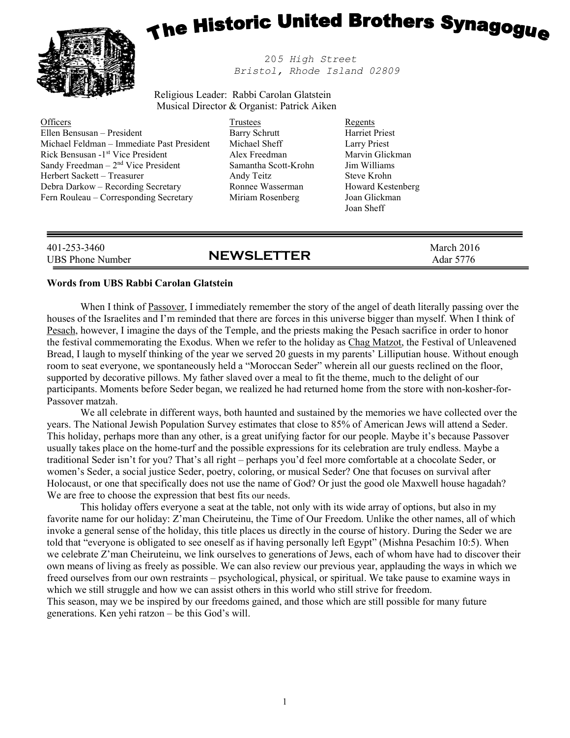

# The Historic United Brothers Synagogue

 205 High Street Bristol, Rhode Island 02809

Religious Leader: Rabbi Carolan Glatstein Musical Director & Organist: Patrick Aiken

**Officers** Ellen Bensusan – President Michael Feldman – Immediate Past President Rick Bensusan -1st Vice President Sandy Freedman  $-2<sup>nd</sup>$  Vice President Herbert Sackett – Treasurer Debra Darkow – Recording Secretary Fern Rouleau – Corresponding Secretary

#### Trustees Barry Schrutt Michael Sheff Alex Freedman Samantha Scott-Krohn Andy Teitz Ronnee Wasserman Miriam Rosenberg

Regents Harriet Priest Larry Priest Marvin Glickman Jim Williams Steve Krohn Howard Kestenberg Joan Glickman Joan Sheff

| 401-253-3460<br><b>NEWSLETTER</b><br>UBS Phone Number | March 2016<br>Adar 5776 |
|-------------------------------------------------------|-------------------------|
|-------------------------------------------------------|-------------------------|

#### Words from UBS Rabbi Carolan Glatstein

When I think of Passover, I immediately remember the story of the angel of death literally passing over the houses of the Israelites and I'm reminded that there are forces in this universe bigger than myself. When I think of Pesach, however, I imagine the days of the Temple, and the priests making the Pesach sacrifice in order to honor the festival commemorating the Exodus. When we refer to the holiday as Chag Matzot, the Festival of Unleavened Bread, I laugh to myself thinking of the year we served 20 guests in my parents' Lilliputian house. Without enough room to seat everyone, we spontaneously held a "Moroccan Seder" wherein all our guests reclined on the floor, supported by decorative pillows. My father slaved over a meal to fit the theme, much to the delight of our participants. Moments before Seder began, we realized he had returned home from the store with non-kosher-for-Passover matzah.

 We all celebrate in different ways, both haunted and sustained by the memories we have collected over the years. The National Jewish Population Survey estimates that close to 85% of American Jews will attend a Seder. This holiday, perhaps more than any other, is a great unifying factor for our people. Maybe it's because Passover usually takes place on the home-turf and the possible expressions for its celebration are truly endless. Maybe a traditional Seder isn't for you? That's all right – perhaps you'd feel more comfortable at a chocolate Seder, or women's Seder, a social justice Seder, poetry, coloring, or musical Seder? One that focuses on survival after Holocaust, or one that specifically does not use the name of God? Or just the good ole Maxwell house hagadah? We are free to choose the expression that best fits our needs.

This holiday offers everyone a seat at the table, not only with its wide array of options, but also in my favorite name for our holiday: Z'man Cheiruteinu, the Time of Our Freedom. Unlike the other names, all of which invoke a general sense of the holiday, this title places us directly in the course of history. During the Seder we are told that "everyone is obligated to see oneself as if having personally left Egypt" (Mishna Pesachim 10:5). When we celebrate Z'man Cheiruteinu, we link ourselves to generations of Jews, each of whom have had to discover their own means of living as freely as possible. We can also review our previous year, applauding the ways in which we freed ourselves from our own restraints – psychological, physical, or spiritual. We take pause to examine ways in which we still struggle and how we can assist others in this world who still strive for freedom. This season, may we be inspired by our freedoms gained, and those which are still possible for many future generations. Ken yehi ratzon – be this God's will.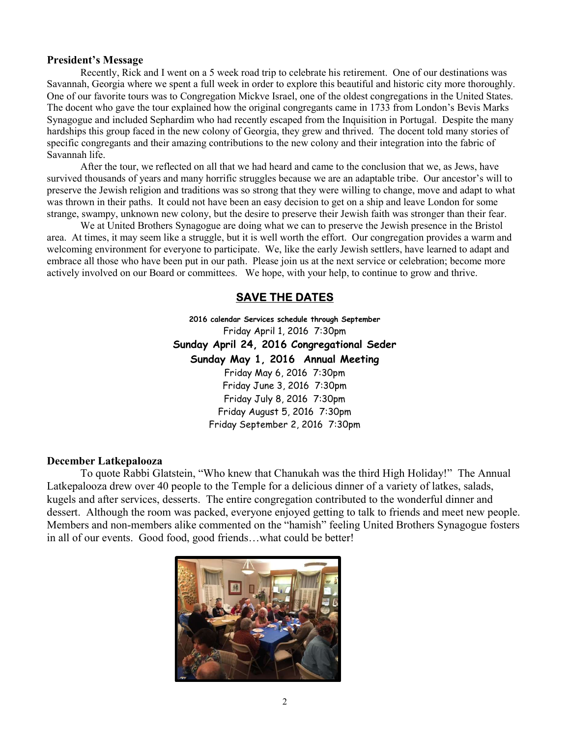#### President's Message

Recently, Rick and I went on a 5 week road trip to celebrate his retirement. One of our destinations was Savannah, Georgia where we spent a full week in order to explore this beautiful and historic city more thoroughly. One of our favorite tours was to Congregation Mickve Israel, one of the oldest congregations in the United States. The docent who gave the tour explained how the original congregants came in 1733 from London's Bevis Marks Synagogue and included Sephardim who had recently escaped from the Inquisition in Portugal. Despite the many hardships this group faced in the new colony of Georgia, they grew and thrived. The docent told many stories of specific congregants and their amazing contributions to the new colony and their integration into the fabric of Savannah life.

 After the tour, we reflected on all that we had heard and came to the conclusion that we, as Jews, have survived thousands of years and many horrific struggles because we are an adaptable tribe. Our ancestor's will to preserve the Jewish religion and traditions was so strong that they were willing to change, move and adapt to what was thrown in their paths. It could not have been an easy decision to get on a ship and leave London for some strange, swampy, unknown new colony, but the desire to preserve their Jewish faith was stronger than their fear.

 We at United Brothers Synagogue are doing what we can to preserve the Jewish presence in the Bristol area. At times, it may seem like a struggle, but it is well worth the effort. Our congregation provides a warm and welcoming environment for everyone to participate. We, like the early Jewish settlers, have learned to adapt and embrace all those who have been put in our path. Please join us at the next service or celebration; become more actively involved on our Board or committees. We hope, with your help, to continue to grow and thrive.

# SAVE THE DATES

2016 calendar Services schedule through September Friday April 1, 2016 7:30pm Sunday April 24, 2016 Congregational Seder Sunday May 1, 2016 Annual Meeting Friday May 6, 2016 7:30pm Friday June 3, 2016 7:30pm Friday July 8, 2016 7:30pm Friday August 5, 2016 7:30pm Friday September 2, 2016 7:30pm

#### December Latkepalooza

 To quote Rabbi Glatstein, "Who knew that Chanukah was the third High Holiday!" The Annual Latkepalooza drew over 40 people to the Temple for a delicious dinner of a variety of latkes, salads, kugels and after services, desserts. The entire congregation contributed to the wonderful dinner and dessert. Although the room was packed, everyone enjoyed getting to talk to friends and meet new people. Members and non-members alike commented on the "hamish" feeling United Brothers Synagogue fosters in all of our events. Good food, good friends…what could be better!

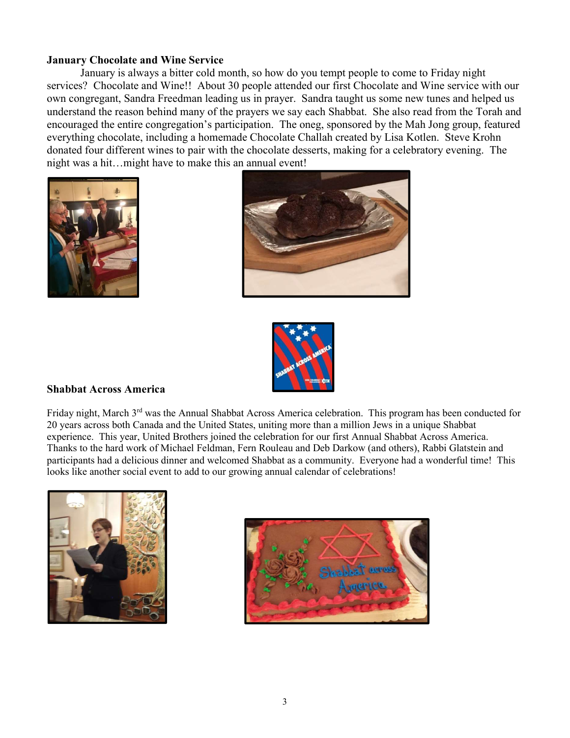#### January Chocolate and Wine Service

January is always a bitter cold month, so how do you tempt people to come to Friday night services? Chocolate and Wine!! About 30 people attended our first Chocolate and Wine service with our own congregant, Sandra Freedman leading us in prayer. Sandra taught us some new tunes and helped us understand the reason behind many of the prayers we say each Shabbat. She also read from the Torah and encouraged the entire congregation's participation. The oneg, sponsored by the Mah Jong group, featured everything chocolate, including a homemade Chocolate Challah created by Lisa Kotlen. Steve Krohn donated four different wines to pair with the chocolate desserts, making for a celebratory evening. The night was a hit…might have to make this an annual event!







## Shabbat Across America

Friday night, March 3<sup>rd</sup> was the Annual Shabbat Across America celebration. This program has been conducted for 20 years across both Canada and the United States, uniting more than a million Jews in a unique Shabbat experience. This year, United Brothers joined the celebration for our first Annual Shabbat Across America. Thanks to the hard work of Michael Feldman, Fern Rouleau and Deb Darkow (and others), Rabbi Glatstein and participants had a delicious dinner and welcomed Shabbat as a community. Everyone had a wonderful time! This looks like another social event to add to our growing annual calendar of celebrations!